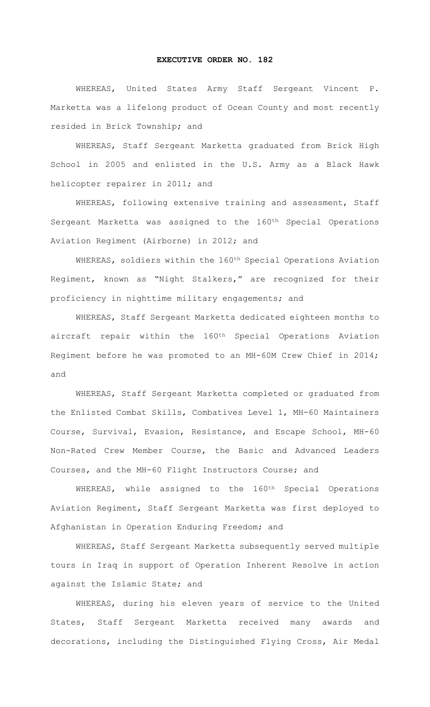## **EXECUTIVE ORDER NO. 182**

 WHEREAS, United States Army Staff Sergeant Vincent P. Marketta was a lifelong product of Ocean County and most recently resided in Brick Township; and

 WHEREAS, Staff Sergeant Marketta graduated from Brick High School in 2005 and enlisted in the U.S. Army as a Black Hawk helicopter repairer in 2011; and

 WHEREAS, following extensive training and assessment, Staff Sergeant Marketta was assigned to the 160<sup>th</sup> Special Operations Aviation Regiment (Airborne) in 2012; and

 WHEREAS, soldiers within the 160th Special Operations Aviation Regiment, known as "Night Stalkers," are recognized for their proficiency in nighttime military engagements; and

 WHEREAS, Staff Sergeant Marketta dedicated eighteen months to aircraft repair within the 160th Special Operations Aviation Regiment before he was promoted to an MH-60M Crew Chief in 2014; and

 WHEREAS, Staff Sergeant Marketta completed or graduated from the Enlisted Combat Skills, Combatives Level 1, MH-60 Maintainers Course, Survival, Evasion, Resistance, and Escape School, MH-60 Non-Rated Crew Member Course, the Basic and Advanced Leaders Courses, and the MH-60 Flight Instructors Course; and

WHEREAS, while assigned to the 160<sup>th</sup> Special Operations Aviation Regiment, Staff Sergeant Marketta was first deployed to Afghanistan in Operation Enduring Freedom; and

 WHEREAS, Staff Sergeant Marketta subsequently served multiple tours in Iraq in support of Operation Inherent Resolve in action against the Islamic State; and

 WHEREAS, during his eleven years of service to the United States, Staff Sergeant Marketta received many awards and decorations, including the Distinguished Flying Cross, Air Medal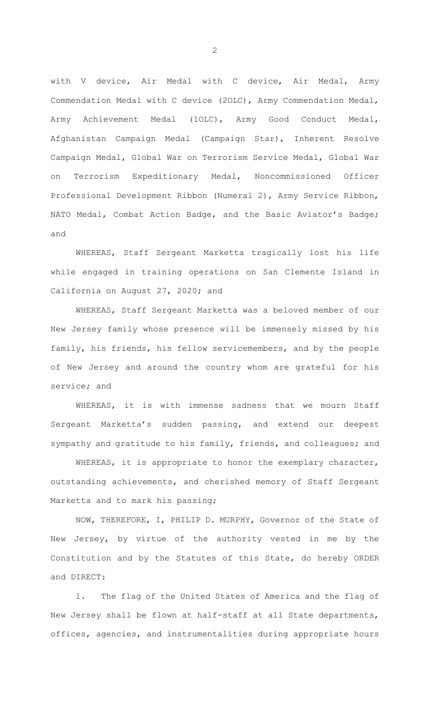with V device, Air Medal with C device, Air Medal, Army Commendation Medal with C device (2OLC), Army Commendation Medal, Army Achievement Medal (1OLC), Army Good Conduct Medal, Afghanistan Campaign Medal (Campaign Star), Inherent Resolve Campaign Medal, Global War on Terrorism Service Medal, Global War on Terrorism Expeditionary Medal, Noncommissioned Officer Professional Development Ribbon (Numeral 2), Army Service Ribbon, NATO Medal, Combat Action Badge, and the Basic Aviator's Badge; and

 WHEREAS, Staff Sergeant Marketta tragically lost his life while engaged in training operations on San Clemente Island in California on August 27, 2020; and

 WHEREAS, Staff Sergeant Marketta was a beloved member of our New Jersey family whose presence will be immensely missed by his family, his friends, his fellow servicemembers, and by the people of New Jersey and around the country whom are grateful for his service; and

 WHEREAS, it is with immense sadness that we mourn Staff Sergeant Marketta's sudden passing, and extend our deepest sympathy and gratitude to his family, friends, and colleagues; and

 WHEREAS, it is appropriate to honor the exemplary character, outstanding achievements, and cherished memory of Staff Sergeant Marketta and to mark his passing;

 NOW, THEREFORE, I, PHILIP D. MURPHY, Governor of the State of New Jersey, by virtue of the authority vested in me by the Constitution and by the Statutes of this State, do hereby ORDER and DIRECT:

 1. The flag of the United States of America and the flag of New Jersey shall be flown at half-staff at all State departments, offices, agencies, and instrumentalities during appropriate hours

2